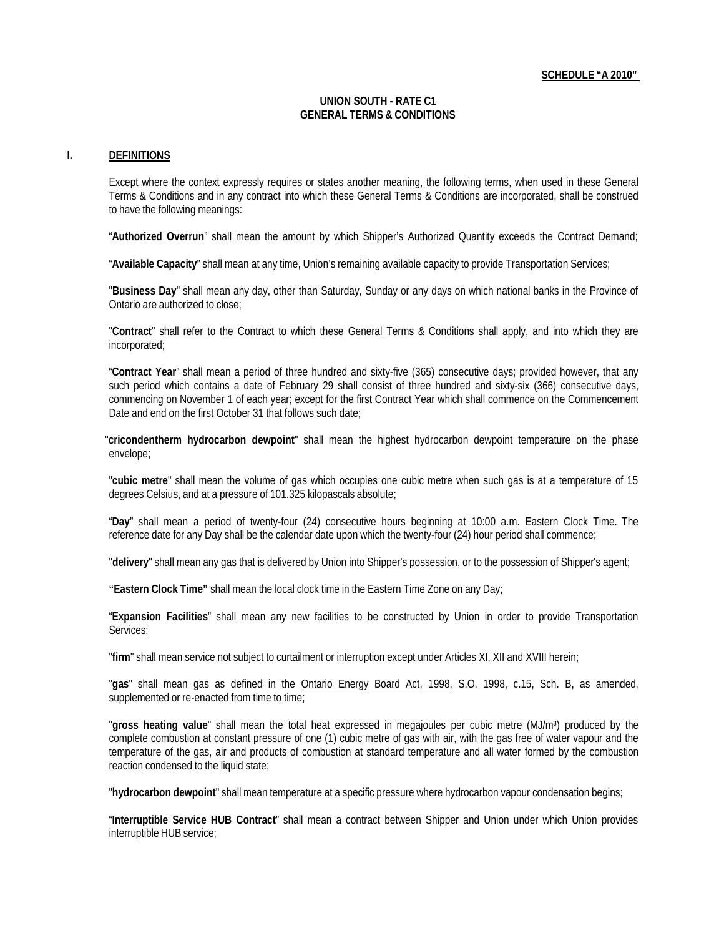#### **UNION SOUTH - RATE C1 GENERAL TERMS & CONDITIONS**

#### **I. DEFINITIONS**

Except where the context expressly requires or states another meaning, the following terms, when used in these General Terms & Conditions and in any contract into which these General Terms & Conditions are incorporated, shall be construed to have the following meanings:

"**Authorized Overrun**" shall mean the amount by which Shipper's Authorized Quantity exceeds the Contract Demand;

"**Available Capacity**" shall mean at any time, Union's remaining available capacity to provide Transportation Services;

"**Business Day**" shall mean any day, other than Saturday, Sunday or any days on which national banks in the Province of Ontario are authorized to close;

"**Contract**" shall refer to the Contract to which these General Terms & Conditions shall apply, and into which they are incorporated;

"**Contract Year**" shall mean a period of three hundred and sixty-five (365) consecutive days; provided however, that any such period which contains a date of February 29 shall consist of three hundred and sixty-six (366) consecutive days, commencing on November 1 of each year; except for the first Contract Year which shall commence on the Commencement Date and end on the first October 31 that follows such date;

"**cricondentherm hydrocarbon dewpoint**" shall mean the highest hydrocarbon dewpoint temperature on the phase envelope;

"**cubic metre**" shall mean the volume of gas which occupies one cubic metre when such gas is at a temperature of 15 degrees Celsius, and at a pressure of 101.325 kilopascals absolute;

"**Day**" shall mean a period of twenty-four (24) consecutive hours beginning at 10:00 a.m. Eastern Clock Time. The reference date for any Day shall be the calendar date upon which the twenty-four (24) hour period shall commence;

"**delivery**" shall mean any gas that is delivered by Union into Shipper's possession, or to the possession of Shipper's agent;

**"Eastern Clock Time"** shall mean the local clock time in the Eastern Time Zone on any Day;

"**Expansion Facilities**" shall mean any new facilities to be constructed by Union in order to provide Transportation Services;

"**firm**" shall mean service not subject to curtailment or interruption except under Articles XI, XII and XVIII herein;

"**gas**" shall mean gas as defined in the Ontario Energy Board Act, 1998, S.O. 1998, c.15, Sch. B, as amended, supplemented or re-enacted from time to time;

"**gross heating value**" shall mean the total heat expressed in megajoules per cubic metre (MJ/m³) produced by the complete combustion at constant pressure of one (1) cubic metre of gas with air, with the gas free of water vapour and the temperature of the gas, air and products of combustion at standard temperature and all water formed by the combustion reaction condensed to the liquid state;

"**hydrocarbon dewpoint**" shall mean temperature at a specific pressure where hydrocarbon vapour condensation begins;

"**Interruptible Service HUB Contract**" shall mean a contract between Shipper and Union under which Union provides interruptible HUB service;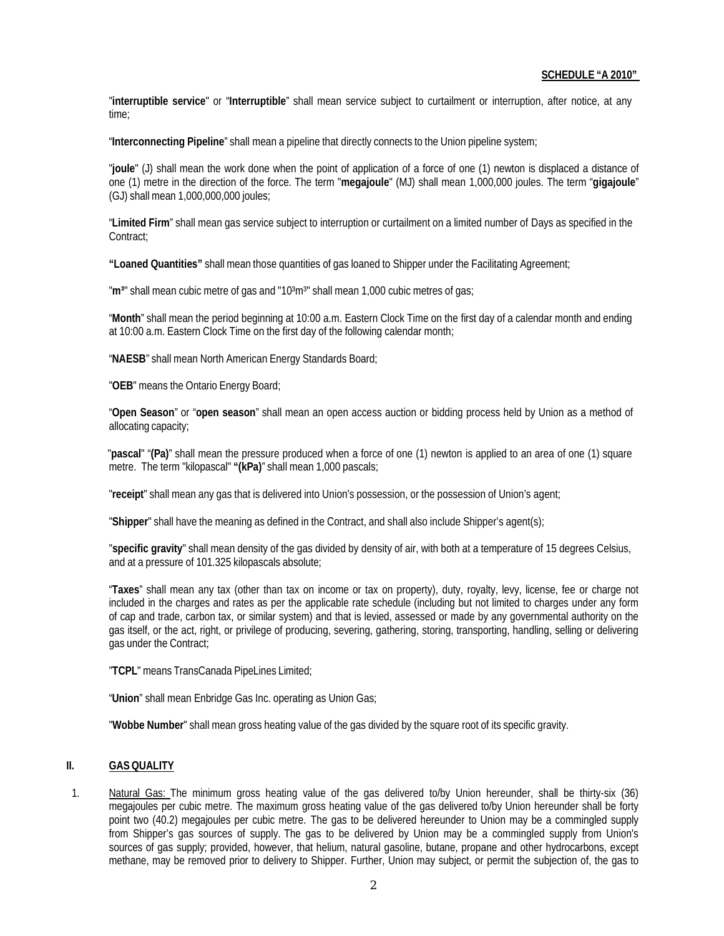"**interruptible service**" or "**Interruptible**" shall mean service subject to curtailment or interruption, after notice, at any time;

"**Interconnecting Pipeline**" shall mean a pipeline that directly connects to the Union pipeline system;

"**joule**" (J) shall mean the work done when the point of application of a force of one (1) newton is displaced a distance of one (1) metre in the direction of the force. The term "**megajoule**" (MJ) shall mean 1,000,000 joules. The term "**gigajoule**" (GJ) shall mean 1,000,000,000 joules;

"**Limited Firm**" shall mean gas service subject to interruption or curtailment on a limited number of Days as specified in the Contract;

**"Loaned Quantities"** shall mean those quantities of gas loaned to Shipper under the Facilitating Agreement;

"m<sup>3</sup>" shall mean cubic metre of gas and "10<sup>3</sup>m<sup>3</sup>" shall mean 1,000 cubic metres of gas;

"**Month**" shall mean the period beginning at 10:00 a.m. Eastern Clock Time on the first day of a calendar month and ending at 10:00 a.m. Eastern Clock Time on the first day of the following calendar month;

"**NAESB**" shall mean North American Energy Standards Board;

"**OEB**" means the Ontario Energy Board;

"**Open Season**" or "**open season**" shall mean an open access auction or bidding process held by Union as a method of allocating capacity;

"**pascal**" "**(Pa)**" shall mean the pressure produced when a force of one (1) newton is applied to an area of one (1) square metre. The term "kilopascal" **"(kPa)**" shall mean 1,000 pascals;

"**receipt**" shall mean any gas that is delivered into Union's possession, or the possession of Union's agent;

"**Shipper**" shall have the meaning as defined in the Contract, and shall also include Shipper's agent(s);

"**specific gravity**" shall mean density of the gas divided by density of air, with both at a temperature of 15 degrees Celsius, and at a pressure of 101.325 kilopascals absolute;

"**Taxes**" shall mean any tax (other than tax on income or tax on property), duty, royalty, levy, license, fee or charge not included in the charges and rates as per the applicable rate schedule (including but not limited to charges under any form of cap and trade, carbon tax, or similar system) and that is levied, assessed or made by any governmental authority on the gas itself, or the act, right, or privilege of producing, severing, gathering, storing, transporting, handling, selling or delivering gas under the Contract;

"**TCPL**" means TransCanada PipeLines Limited;

"**Union**" shall mean Enbridge Gas Inc. operating as Union Gas;

"**Wobbe Number**" shall mean gross heating value of the gas divided by the square root of its specific gravity.

### **II. GASQUALITY**

1. Natural Gas: The minimum gross heating value of the gas delivered to/by Union hereunder, shall be thirty-six (36) megajoules per cubic metre. The maximum gross heating value of the gas delivered to/by Union hereunder shall be forty point two (40.2) megajoules per cubic metre. The gas to be delivered hereunder to Union may be a commingled supply from Shipper's gas sources of supply. The gas to be delivered by Union may be a commingled supply from Union's sources of gas supply; provided, however, that helium, natural gasoline, butane, propane and other hydrocarbons, except methane, may be removed prior to delivery to Shipper. Further, Union may subject, or permit the subjection of, the gas to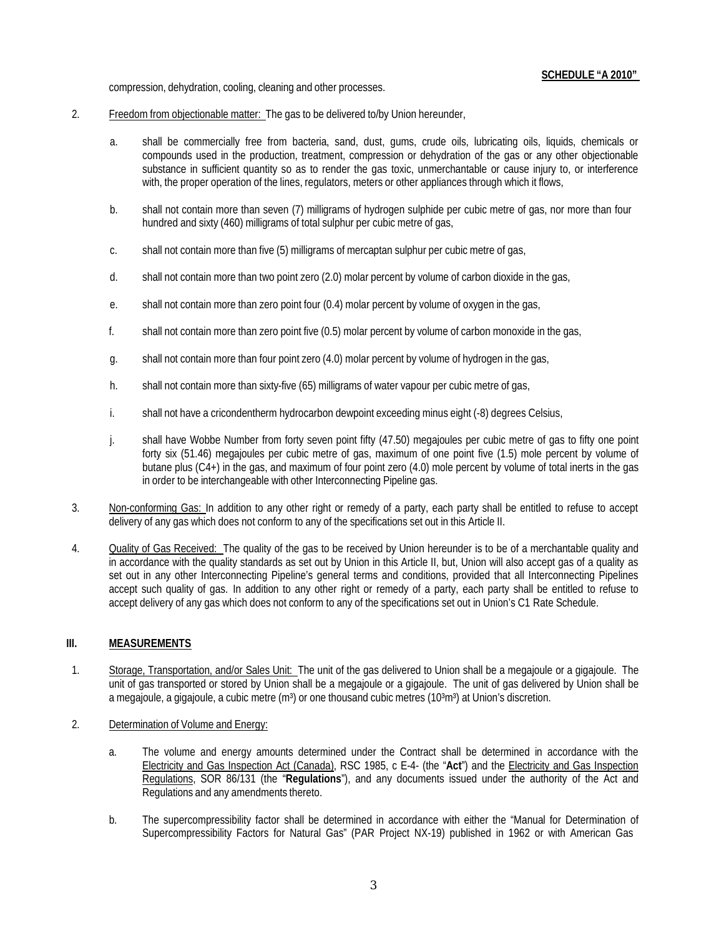compression, dehydration, cooling, cleaning and other processes.

- 2. Freedom from objectionable matter: The gas to be delivered to/by Union hereunder,
	- a. shall be commercially free from bacteria, sand, dust, gums, crude oils, lubricating oils, liquids, chemicals or compounds used in the production, treatment, compression or dehydration of the gas or any other objectionable substance in sufficient quantity so as to render the gas toxic, unmerchantable or cause injury to, or interference with, the proper operation of the lines, regulators, meters or other appliances through which it flows,
	- b. shall not contain more than seven (7) milligrams of hydrogen sulphide per cubic metre of gas, nor more than four hundred and sixty (460) milligrams of total sulphur per cubic metre of gas,
	- c. shall not contain more than five (5) milligrams of mercaptan sulphur per cubic metre of gas,
	- d. shall not contain more than two point zero (2.0) molar percent by volume of carbon dioxide in the gas,
	- e. shall not contain more than zero point four (0.4) molar percent by volume of oxygen in the gas,
	- f. shall not contain more than zero point five (0.5) molar percent by volume of carbon monoxide in the gas,
	- g. shall not contain more than four point zero (4.0) molar percent by volume of hydrogen in the gas,
	- h. shall not contain more than sixty-five (65) milligrams of water vapour per cubic metre of gas,
	- i. shall not have a cricondentherm hydrocarbon dewpoint exceeding minus eight (-8) degrees Celsius,
	- j. shall have Wobbe Number from forty seven point fifty (47.50) megajoules per cubic metre of gas to fifty one point forty six (51.46) megajoules per cubic metre of gas, maximum of one point five (1.5) mole percent by volume of butane plus (C4+) in the gas, and maximum of four point zero (4.0) mole percent by volume of total inerts in the gas in order to be interchangeable with other Interconnecting Pipeline gas.
- 3. Non-conforming Gas: In addition to any other right or remedy of a party, each party shall be entitled to refuse to accept delivery of any gas which does not conform to any of the specifications set out in this Article II.
- 4. Quality of Gas Received: The quality of the gas to be received by Union hereunder is to be of a merchantable quality and in accordance with the quality standards as set out by Union in this Article II, but, Union will also accept gas of a quality as set out in any other Interconnecting Pipeline's general terms and conditions, provided that all Interconnecting Pipelines accept such quality of gas. In addition to any other right or remedy of a party, each party shall be entitled to refuse to accept delivery of any gas which does not conform to any of the specifications set out in Union's C1 Rate Schedule.

# **III. MEASUREMENTS**

- 1. Storage, Transportation, and/or Sales Unit: The unit of the gas delivered to Union shall be a megajoule or a gigajoule. The unit of gas transported or stored by Union shall be a megajoule or a gigajoule. The unit of gas delivered by Union shall be a megajoule, a gigajoule, a cubic metre  $(m<sup>3</sup>)$  or one thousand cubic metres (10 $<sup>3</sup>m<sup>3</sup>$ ) at Union's discretion.</sup>
- 2. Determination of Volume and Energy:
	- a. The volume and energy amounts determined under the Contract shall be determined in accordance with the Electricity and Gas Inspection Act (Canada), RSC 1985, c E-4- (the "**Act**") and the Electricity and Gas Inspection Regulations, SOR 86/131 (the "**Regulations**"), and any documents issued under the authority of the Act and Regulations and any amendments thereto.
	- b. The supercompressibility factor shall be determined in accordance with either the "Manual for Determination of Supercompressibility Factors for Natural Gas" (PAR Project NX-19) published in 1962 or with American Gas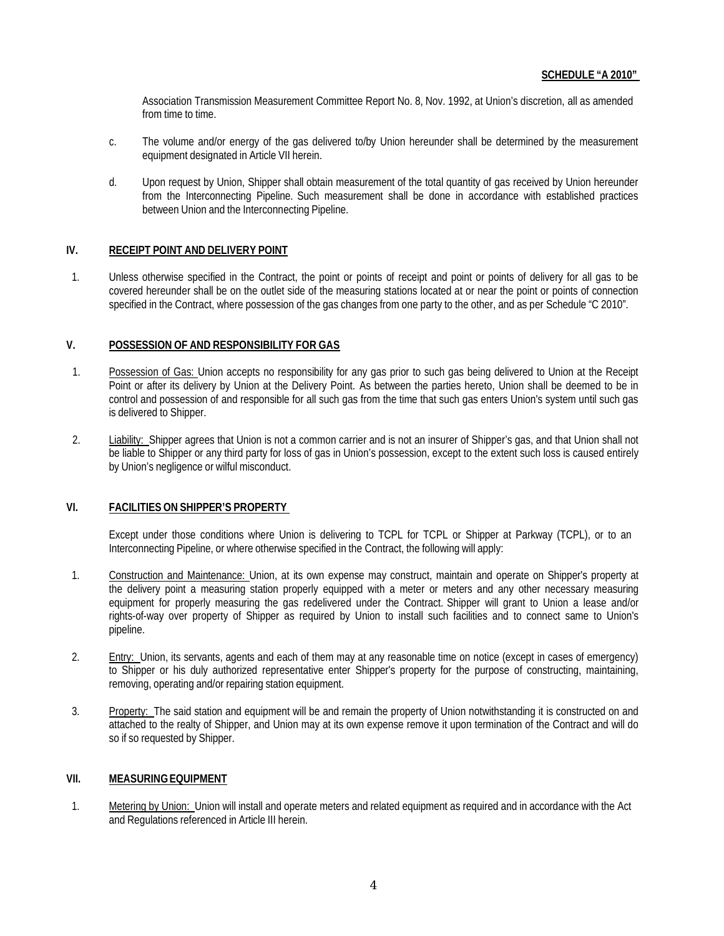Association Transmission Measurement Committee Report No. 8, Nov. 1992, at Union's discretion, all as amended from time to time.

- c. The volume and/or energy of the gas delivered to/by Union hereunder shall be determined by the measurement equipment designated in Article VII herein.
- d. Upon request by Union, Shipper shall obtain measurement of the total quantity of gas received by Union hereunder from the Interconnecting Pipeline. Such measurement shall be done in accordance with established practices between Union and the Interconnecting Pipeline.

## **IV. RECEIPT POINT AND DELIVERY POINT**

1. Unless otherwise specified in the Contract, the point or points of receipt and point or points of delivery for all gas to be covered hereunder shall be on the outlet side of the measuring stations located at or near the point or points of connection specified in the Contract, where possession of the gas changes from one party to the other, and as per Schedule "C 2010".

## **V. POSSESSION OF AND RESPONSIBILITY FOR GAS**

- 1. Possession of Gas: Union accepts no responsibility for any gas prior to such gas being delivered to Union at the Receipt Point or after its delivery by Union at the Delivery Point. As between the parties hereto, Union shall be deemed to be in control and possession of and responsible for all such gas from the time that such gas enters Union's system until such gas is delivered to Shipper.
- 2. Liability: Shipper agrees that Union is not a common carrier and is not an insurer of Shipper's gas, and that Union shall not be liable to Shipper or any third party for loss of gas in Union's possession, except to the extent such loss is caused entirely by Union's negligence or wilful misconduct.

### **VI. FACILITIES ON SHIPPER'S PROPERTY**

Except under those conditions where Union is delivering to TCPL for TCPL or Shipper at Parkway (TCPL), or to an Interconnecting Pipeline, or where otherwise specified in the Contract, the following will apply:

- 1. Construction and Maintenance: Union, at its own expense may construct, maintain and operate on Shipper's property at the delivery point a measuring station properly equipped with a meter or meters and any other necessary measuring equipment for properly measuring the gas redelivered under the Contract. Shipper will grant to Union a lease and/or rights-of-way over property of Shipper as required by Union to install such facilities and to connect same to Union's pipeline.
- 2. Entry: Union, its servants, agents and each of them may at any reasonable time on notice (except in cases of emergency) to Shipper or his duly authorized representative enter Shipper's property for the purpose of constructing, maintaining, removing, operating and/or repairing station equipment.
- 3. Property: The said station and equipment will be and remain the property of Union notwithstanding it is constructed on and attached to the realty of Shipper, and Union may at its own expense remove it upon termination of the Contract and will do so if so requested by Shipper.

### **VII. MEASURINGEQUIPMENT**

1. Metering by Union: Union will install and operate meters and related equipment as required and in accordance with the Act and Regulations referenced in Article III herein.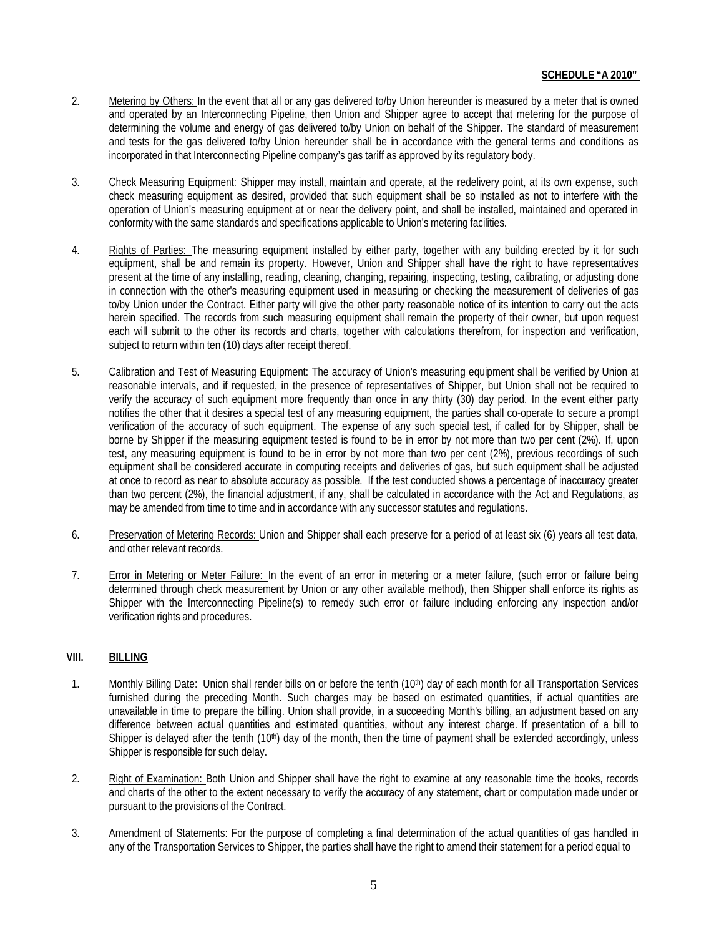- 2. Metering by Others: In the event that all or any gas delivered to/by Union hereunder is measured by a meter that is owned and operated by an Interconnecting Pipeline, then Union and Shipper agree to accept that metering for the purpose of determining the volume and energy of gas delivered to/by Union on behalf of the Shipper. The standard of measurement and tests for the gas delivered to/by Union hereunder shall be in accordance with the general terms and conditions as incorporated in that Interconnecting Pipeline company's gas tariff as approved by its regulatory body.
- 3. Check Measuring Equipment: Shipper may install, maintain and operate, at the redelivery point, at its own expense, such check measuring equipment as desired, provided that such equipment shall be so installed as not to interfere with the operation of Union's measuring equipment at or near the delivery point, and shall be installed, maintained and operated in conformity with the same standards and specifications applicable to Union's metering facilities.
- 4. Rights of Parties: The measuring equipment installed by either party, together with any building erected by it for such equipment, shall be and remain its property. However, Union and Shipper shall have the right to have representatives present at the time of any installing, reading, cleaning, changing, repairing, inspecting, testing, calibrating, or adjusting done in connection with the other's measuring equipment used in measuring or checking the measurement of deliveries of gas to/by Union under the Contract. Either party will give the other party reasonable notice of its intention to carry out the acts herein specified. The records from such measuring equipment shall remain the property of their owner, but upon request each will submit to the other its records and charts, together with calculations therefrom, for inspection and verification, subject to return within ten (10) days after receipt thereof.
- 5. Calibration and Test of Measuring Equipment: The accuracy of Union's measuring equipment shall be verified by Union at reasonable intervals, and if requested, in the presence of representatives of Shipper, but Union shall not be required to verify the accuracy of such equipment more frequently than once in any thirty (30) day period. In the event either party notifies the other that it desires a special test of any measuring equipment, the parties shall co-operate to secure a prompt verification of the accuracy of such equipment. The expense of any such special test, if called for by Shipper, shall be borne by Shipper if the measuring equipment tested is found to be in error by not more than two per cent (2%). If, upon test, any measuring equipment is found to be in error by not more than two per cent (2%), previous recordings of such equipment shall be considered accurate in computing receipts and deliveries of gas, but such equipment shall be adjusted at once to record as near to absolute accuracy as possible. If the test conducted shows a percentage of inaccuracy greater than two percent (2%), the financial adjustment, if any, shall be calculated in accordance with the Act and Regulations, as may be amended from time to time and in accordance with any successor statutes and regulations.
- 6. Preservation of Metering Records: Union and Shipper shall each preserve for a period of at least six (6) years all test data, and other relevant records.
- 7. Error in Metering or Meter Failure: In the event of an error in metering or a meter failure, (such error or failure being determined through check measurement by Union or any other available method), then Shipper shall enforce its rights as Shipper with the Interconnecting Pipeline(s) to remedy such error or failure including enforcing any inspection and/or verification rights and procedures.

## **VIII. BILLING**

- 1. Monthly Billing Date: Union shall render bills on or before the tenth (10<sup>th</sup>) day of each month for all Transportation Services furnished during the preceding Month. Such charges may be based on estimated quantities, if actual quantities are unavailable in time to prepare the billing. Union shall provide, in a succeeding Month's billing, an adjustment based on any difference between actual quantities and estimated quantities, without any interest charge. If presentation of a bill to Shipper is delayed after the tenth  $(10<sup>th</sup>)$  day of the month, then the time of payment shall be extended accordingly, unless Shipper is responsible for such delay.
- 2. Right of Examination: Both Union and Shipper shall have the right to examine at any reasonable time the books, records and charts of the other to the extent necessary to verify the accuracy of any statement, chart or computation made under or pursuant to the provisions of the Contract.
- 3. Amendment of Statements: For the purpose of completing a final determination of the actual quantities of gas handled in any of the Transportation Services to Shipper, the parties shall have the right to amend their statement for a period equal to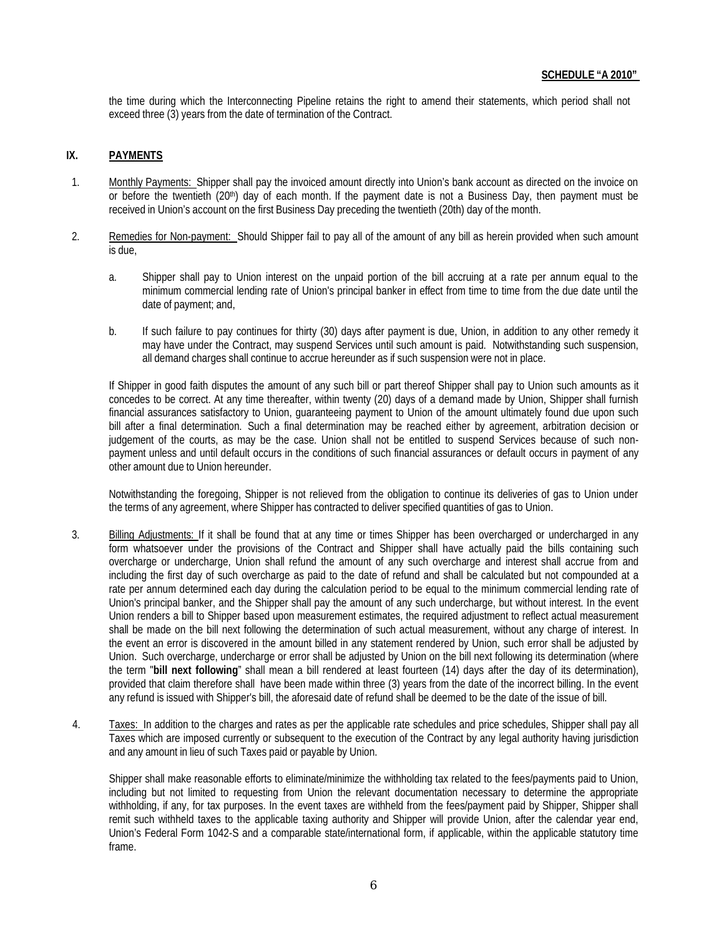the time during which the Interconnecting Pipeline retains the right to amend their statements, which period shall not exceed three (3) years from the date of termination of the Contract.

## **IX. PAYMENTS**

- 1. Monthly Payments: Shipper shall pay the invoiced amount directly into Union's bank account as directed on the invoice on or before the twentieth (20<sup>th</sup>) day of each month. If the payment date is not a Business Day, then payment must be received in Union's account on the first Business Day preceding the twentieth (20th) day of the month.
- 2. Remedies for Non-payment: Should Shipper fail to pay all of the amount of any bill as herein provided when such amount is due,
	- a. Shipper shall pay to Union interest on the unpaid portion of the bill accruing at a rate per annum equal to the minimum commercial lending rate of Union's principal banker in effect from time to time from the due date until the date of payment; and,
	- b. If such failure to pay continues for thirty (30) days after payment is due, Union, in addition to any other remedy it may have under the Contract, may suspend Services until such amount is paid. Notwithstanding such suspension, all demand charges shall continue to accrue hereunder as if such suspension were not in place.

If Shipper in good faith disputes the amount of any such bill or part thereof Shipper shall pay to Union such amounts as it concedes to be correct. At any time thereafter, within twenty (20) days of a demand made by Union, Shipper shall furnish financial assurances satisfactory to Union, guaranteeing payment to Union of the amount ultimately found due upon such bill after a final determination. Such a final determination may be reached either by agreement, arbitration decision or judgement of the courts, as may be the case. Union shall not be entitled to suspend Services because of such nonpayment unless and until default occurs in the conditions of such financial assurances or default occurs in payment of any other amount due to Union hereunder.

Notwithstanding the foregoing, Shipper is not relieved from the obligation to continue its deliveries of gas to Union under the terms of any agreement, where Shipper has contracted to deliver specified quantities of gas to Union.

- 3. Billing Adjustments: If it shall be found that at any time or times Shipper has been overcharged or undercharged in any form whatsoever under the provisions of the Contract and Shipper shall have actually paid the bills containing such overcharge or undercharge, Union shall refund the amount of any such overcharge and interest shall accrue from and including the first day of such overcharge as paid to the date of refund and shall be calculated but not compounded at a rate per annum determined each day during the calculation period to be equal to the minimum commercial lending rate of Union's principal banker, and the Shipper shall pay the amount of any such undercharge, but without interest. In the event Union renders a bill to Shipper based upon measurement estimates, the required adjustment to reflect actual measurement shall be made on the bill next following the determination of such actual measurement, without any charge of interest. In the event an error is discovered in the amount billed in any statement rendered by Union, such error shall be adjusted by Union. Such overcharge, undercharge or error shall be adjusted by Union on the bill next following its determination (where the term "**bill next following**" shall mean a bill rendered at least fourteen (14) days after the day of its determination), provided that claim therefore shall have been made within three (3) years from the date of the incorrect billing. In the event any refund is issued with Shipper's bill, the aforesaid date of refund shall be deemed to be the date of the issue of bill.
- 4. Taxes: In addition to the charges and rates as per the applicable rate schedules and price schedules, Shipper shall pay all Taxes which are imposed currently or subsequent to the execution of the Contract by any legal authority having jurisdiction and any amount in lieu of such Taxes paid or payable by Union.

Shipper shall make reasonable efforts to eliminate/minimize the withholding tax related to the fees/payments paid to Union, including but not limited to requesting from Union the relevant documentation necessary to determine the appropriate withholding, if any, for tax purposes. In the event taxes are withheld from the fees/payment paid by Shipper, Shipper shall remit such withheld taxes to the applicable taxing authority and Shipper will provide Union, after the calendar year end, Union's Federal Form 1042-S and a comparable state/international form, if applicable, within the applicable statutory time frame.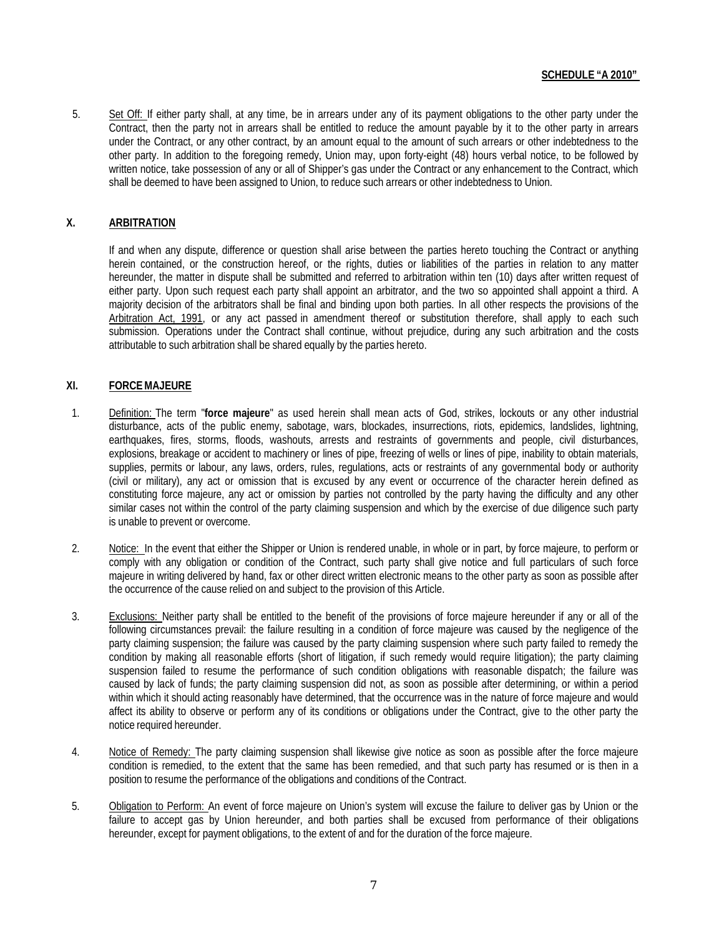## **SCHEDULE "A 2010"**

5. Set Off: If either party shall, at any time, be in arrears under any of its payment obligations to the other party under the Contract, then the party not in arrears shall be entitled to reduce the amount payable by it to the other party in arrears under the Contract, or any other contract, by an amount equal to the amount of such arrears or other indebtedness to the other party. In addition to the foregoing remedy, Union may, upon forty-eight (48) hours verbal notice, to be followed by written notice, take possession of any or all of Shipper's gas under the Contract or any enhancement to the Contract, which shall be deemed to have been assigned to Union, to reduce such arrears or other indebtedness to Union.

## **X. ARBITRATION**

If and when any dispute, difference or question shall arise between the parties hereto touching the Contract or anything herein contained, or the construction hereof, or the rights, duties or liabilities of the parties in relation to any matter hereunder, the matter in dispute shall be submitted and referred to arbitration within ten (10) days after written request of either party. Upon such request each party shall appoint an arbitrator, and the two so appointed shall appoint a third. A majority decision of the arbitrators shall be final and binding upon both parties. In all other respects the provisions of the Arbitration Act, 1991, or any act passed in amendment thereof or substitution therefore, shall apply to each such submission. Operations under the Contract shall continue, without prejudice, during any such arbitration and the costs attributable to such arbitration shall be shared equally by the parties hereto.

## **XI. FORCEMAJEURE**

- 1. Definition: The term "**force majeure**" as used herein shall mean acts of God, strikes, lockouts or any other industrial disturbance, acts of the public enemy, sabotage, wars, blockades, insurrections, riots, epidemics, landslides, lightning, earthquakes, fires, storms, floods, washouts, arrests and restraints of governments and people, civil disturbances, explosions, breakage or accident to machinery or lines of pipe, freezing of wells or lines of pipe, inability to obtain materials, supplies, permits or labour, any laws, orders, rules, regulations, acts or restraints of any governmental body or authority (civil or military), any act or omission that is excused by any event or occurrence of the character herein defined as constituting force majeure, any act or omission by parties not controlled by the party having the difficulty and any other similar cases not within the control of the party claiming suspension and which by the exercise of due diligence such party is unable to prevent or overcome.
- 2. Notice: In the event that either the Shipper or Union is rendered unable, in whole or in part, by force majeure, to perform or comply with any obligation or condition of the Contract, such party shall give notice and full particulars of such force majeure in writing delivered by hand, fax or other direct written electronic means to the other party as soon as possible after the occurrence of the cause relied on and subject to the provision of this Article.
- 3. Exclusions: Neither party shall be entitled to the benefit of the provisions of force majeure hereunder if any or all of the following circumstances prevail: the failure resulting in a condition of force majeure was caused by the negligence of the party claiming suspension; the failure was caused by the party claiming suspension where such party failed to remedy the condition by making all reasonable efforts (short of litigation, if such remedy would require litigation); the party claiming suspension failed to resume the performance of such condition obligations with reasonable dispatch; the failure was caused by lack of funds; the party claiming suspension did not, as soon as possible after determining, or within a period within which it should acting reasonably have determined, that the occurrence was in the nature of force majeure and would affect its ability to observe or perform any of its conditions or obligations under the Contract, give to the other party the notice required hereunder.
- 4. Notice of Remedy: The party claiming suspension shall likewise give notice as soon as possible after the force majeure condition is remedied, to the extent that the same has been remedied, and that such party has resumed or is then in a position to resume the performance of the obligations and conditions of the Contract.
- 5. Obligation to Perform: An event of force majeure on Union's system will excuse the failure to deliver gas by Union or the failure to accept gas by Union hereunder, and both parties shall be excused from performance of their obligations hereunder, except for payment obligations, to the extent of and for the duration of the force majeure.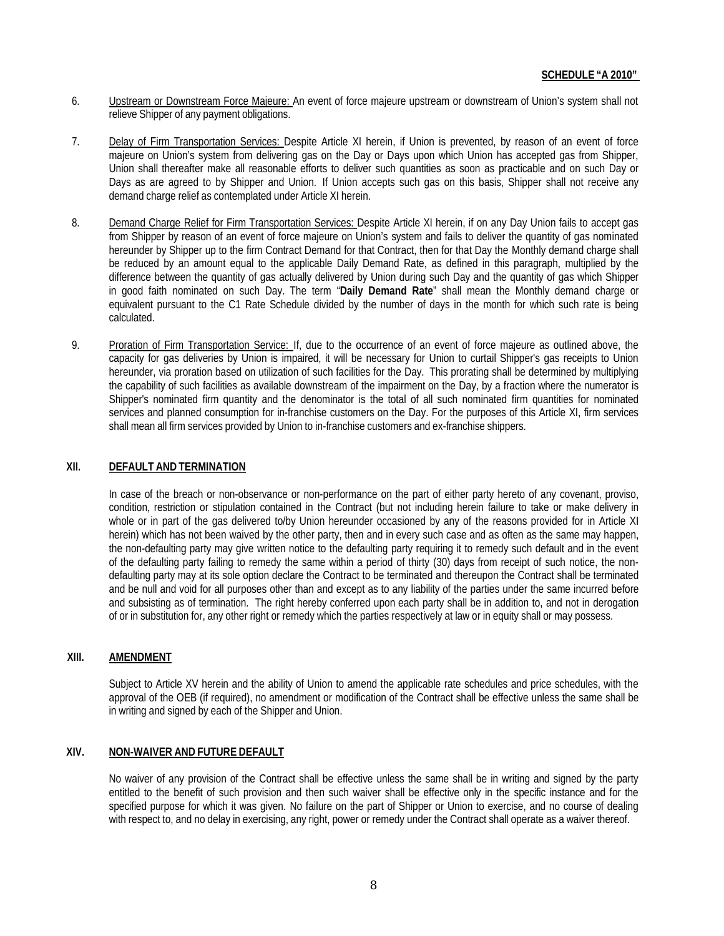- 6. Upstream or Downstream Force Majeure: An event of force majeure upstream or downstream of Union's system shall not relieve Shipper of any payment obligations.
- 7. Delay of Firm Transportation Services: Despite Article XI herein, if Union is prevented, by reason of an event of force majeure on Union's system from delivering gas on the Day or Days upon which Union has accepted gas from Shipper, Union shall thereafter make all reasonable efforts to deliver such quantities as soon as practicable and on such Day or Days as are agreed to by Shipper and Union. If Union accepts such gas on this basis, Shipper shall not receive any demand charge relief as contemplated under Article XI herein.
- 8. Demand Charge Relief for Firm Transportation Services: Despite Article XI herein, if on any Day Union fails to accept gas from Shipper by reason of an event of force majeure on Union's system and fails to deliver the quantity of gas nominated hereunder by Shipper up to the firm Contract Demand for that Contract, then for that Day the Monthly demand charge shall be reduced by an amount equal to the applicable Daily Demand Rate, as defined in this paragraph, multiplied by the difference between the quantity of gas actually delivered by Union during such Day and the quantity of gas which Shipper in good faith nominated on such Day. The term "**Daily Demand Rate**" shall mean the Monthly demand charge or equivalent pursuant to the C1 Rate Schedule divided by the number of days in the month for which such rate is being calculated.
- 9. Proration of Firm Transportation Service: If, due to the occurrence of an event of force majeure as outlined above, the capacity for gas deliveries by Union is impaired, it will be necessary for Union to curtail Shipper's gas receipts to Union hereunder, via proration based on utilization of such facilities for the Day. This prorating shall be determined by multiplying the capability of such facilities as available downstream of the impairment on the Day, by a fraction where the numerator is Shipper's nominated firm quantity and the denominator is the total of all such nominated firm quantities for nominated services and planned consumption for in-franchise customers on the Day. For the purposes of this Article XI, firm services shall mean all firm services provided by Union to in-franchise customers and ex-franchise shippers.

#### **XII. DEFAULT AND TERMINATION**

In case of the breach or non-observance or non-performance on the part of either party hereto of any covenant, proviso, condition, restriction or stipulation contained in the Contract (but not including herein failure to take or make delivery in whole or in part of the gas delivered to/by Union hereunder occasioned by any of the reasons provided for in Article XI herein) which has not been waived by the other party, then and in every such case and as often as the same may happen, the non-defaulting party may give written notice to the defaulting party requiring it to remedy such default and in the event of the defaulting party failing to remedy the same within a period of thirty (30) days from receipt of such notice, the nondefaulting party may at its sole option declare the Contract to be terminated and thereupon the Contract shall be terminated and be null and void for all purposes other than and except as to any liability of the parties under the same incurred before and subsisting as of termination. The right hereby conferred upon each party shall be in addition to, and not in derogation of or in substitution for, any other right or remedy which the parties respectively at law or in equity shall or may possess.

#### **XIII. AMENDMENT**

Subject to Article XV herein and the ability of Union to amend the applicable rate schedules and price schedules, with the approval of the OEB (if required), no amendment or modification of the Contract shall be effective unless the same shall be in writing and signed by each of the Shipper and Union.

### **XIV. NON-WAIVER AND FUTURE DEFAULT**

No waiver of any provision of the Contract shall be effective unless the same shall be in writing and signed by the party entitled to the benefit of such provision and then such waiver shall be effective only in the specific instance and for the specified purpose for which it was given. No failure on the part of Shipper or Union to exercise, and no course of dealing with respect to, and no delay in exercising, any right, power or remedy under the Contract shall operate as a waiver thereof.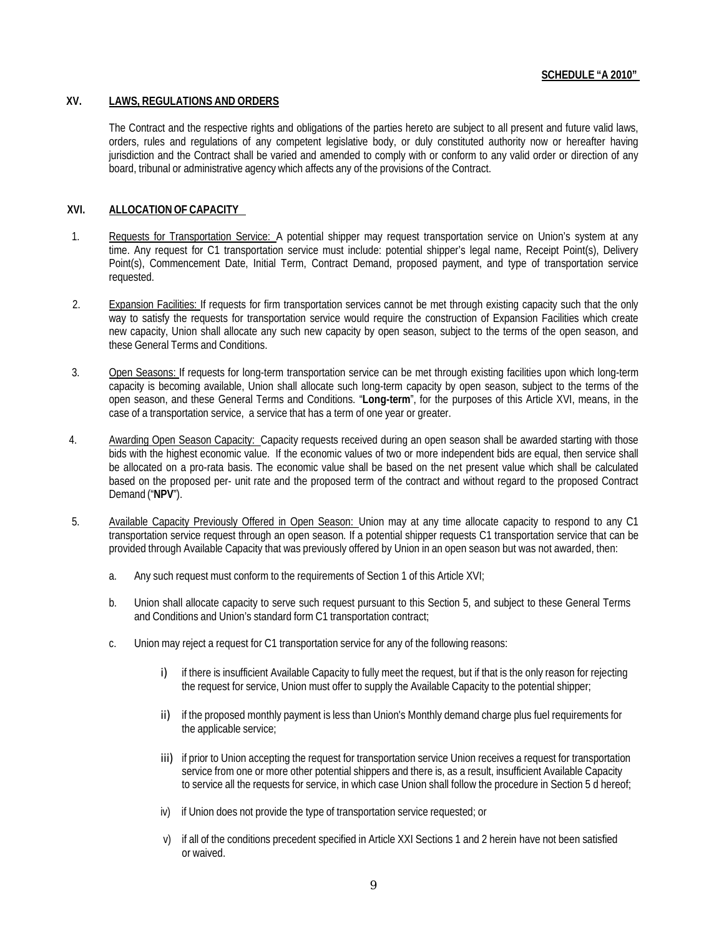### **XV. LAWS, REGULATIONS AND ORDERS**

The Contract and the respective rights and obligations of the parties hereto are subject to all present and future valid laws, orders, rules and regulations of any competent legislative body, or duly constituted authority now or hereafter having jurisdiction and the Contract shall be varied and amended to comply with or conform to any valid order or direction of any board, tribunal or administrative agency which affects any of the provisions of the Contract.

## **XVI. ALLOCATION OF CAPACITY**

- 1. Requests for Transportation Service: A potential shipper may request transportation service on Union's system at any time. Any request for C1 transportation service must include: potential shipper's legal name, Receipt Point(s), Delivery Point(s), Commencement Date, Initial Term, Contract Demand, proposed payment, and type of transportation service requested.
- 2. Expansion Facilities: If requests for firm transportation services cannot be met through existing capacity such that the only way to satisfy the requests for transportation service would require the construction of Expansion Facilities which create new capacity, Union shall allocate any such new capacity by open season, subject to the terms of the open season, and these General Terms and Conditions.
- 3. Open Seasons: If requests for long-term transportation service can be met through existing facilities upon which long-term capacity is becoming available, Union shall allocate such long-term capacity by open season, subject to the terms of the open season, and these General Terms and Conditions. "**Long-term**", for the purposes of this Article XVI, means, in the case of a transportation service, a service that has a term of one year or greater.
- 4. Awarding Open Season Capacity: Capacity requests received during an open season shall be awarded starting with those bids with the highest economic value. If the economic values of two or more independent bids are equal, then service shall be allocated on a pro-rata basis. The economic value shall be based on the net present value which shall be calculated based on the proposed per- unit rate and the proposed term of the contract and without regard to the proposed Contract Demand ("**NPV**").
- 5. Available Capacity Previously Offered in Open Season: Union may at any time allocate capacity to respond to any C1 transportation service request through an open season. If a potential shipper requests C1 transportation service that can be provided through Available Capacity that was previously offered by Union in an open season but was not awarded, then:
	- a. Any such request must conform to the requirements of Section 1 of this Article XVI;
	- b. Union shall allocate capacity to serve such request pursuant to this Section 5, and subject to these General Terms and Conditions and Union's standard form C1 transportation contract;
	- c. Union may reject a request for C1 transportation service for any of the following reasons:
		- i) if there is insufficient Available Capacity to fully meet the request, but if that is the only reason for rejecting the request for service, Union must offer to supply the Available Capacity to the potential shipper;
		- ii) if the proposed monthly payment is less than Union's Monthly demand charge plus fuel requirements for the applicable service;
		- iii) if prior to Union accepting the request for transportation service Union receives a request for transportation service from one or more other potential shippers and there is, as a result, insufficient Available Capacity to service all the requests for service, in which case Union shall follow the procedure in Section 5 d hereof;
		- iv) if Union does not provide the type of transportation service requested; or
		- v) if all of the conditions precedent specified in Article XXI Sections 1 and 2 herein have not been satisfied or waived.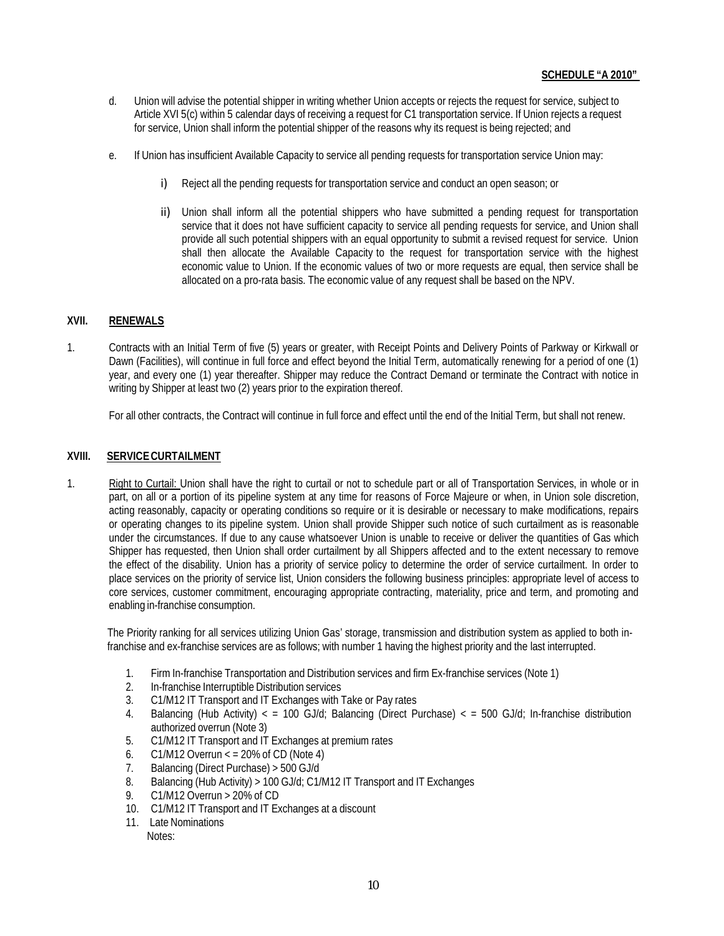- d. Union will advise the potential shipper in writing whether Union accepts or rejects the request for service, subject to Article XVI 5(c) within 5 calendar days of receiving a request for C1 transportation service. If Union rejects a request for service, Union shall inform the potential shipper of the reasons why its request is being rejected; and
- e. If Union has insufficient Available Capacity to service all pending requests for transportation service Union may:
	- i) Reject all the pending requests for transportation service and conduct an open season; or
	- ii) Union shall inform all the potential shippers who have submitted a pending request for transportation service that it does not have sufficient capacity to service all pending requests for service, and Union shall provide all such potential shippers with an equal opportunity to submit a revised request for service. Union shall then allocate the Available Capacity to the request for transportation service with the highest economic value to Union. If the economic values of two or more requests are equal, then service shall be allocated on a pro-rata basis. The economic value of any request shall be based on the NPV.

## **XVII. RENEWALS**

1. Contracts with an Initial Term of five (5) years or greater, with Receipt Points and Delivery Points of Parkway or Kirkwall or Dawn (Facilities), will continue in full force and effect beyond the Initial Term, automatically renewing for a period of one (1) year, and every one (1) year thereafter. Shipper may reduce the Contract Demand or terminate the Contract with notice in writing by Shipper at least two (2) years prior to the expiration thereof.

For all other contracts, the Contract will continue in full force and effect until the end of the Initial Term, but shall not renew.

## **XVIII. SERVICECURTAILMENT**

1. Right to Curtail: Union shall have the right to curtail or not to schedule part or all of Transportation Services, in whole or in part, on all or a portion of its pipeline system at any time for reasons of Force Majeure or when, in Union sole discretion, acting reasonably, capacity or operating conditions so require or it is desirable or necessary to make modifications, repairs or operating changes to its pipeline system. Union shall provide Shipper such notice of such curtailment as is reasonable under the circumstances. If due to any cause whatsoever Union is unable to receive or deliver the quantities of Gas which Shipper has requested, then Union shall order curtailment by all Shippers affected and to the extent necessary to remove the effect of the disability. Union has a priority of service policy to determine the order of service curtailment. In order to place services on the priority of service list, Union considers the following business principles: appropriate level of access to core services, customer commitment, encouraging appropriate contracting, materiality, price and term, and promoting and enabling in-franchise consumption.

The Priority ranking for all services utilizing Union Gas' storage, transmission and distribution system as applied to both infranchise and ex-franchise services are as follows; with number 1 having the highest priority and the last interrupted.

- 1. Firm In-franchise Transportation and Distribution services and firm Ex-franchise services (Note 1)
- 2. In-franchise Interruptible Distribution services
- 3. C1/M12 IT Transport and IT Exchanges with Take or Pay rates
- 4. Balancing (Hub Activity) < = 100 GJ/d; Balancing (Direct Purchase) < = 500 GJ/d; In-franchise distribution authorized overrun (Note 3)
- 5. C1/M12 IT Transport and IT Exchanges at premium rates
- 6.  $C1/M12$  Overrun  $\lt$  = 20% of CD (Note 4)
- 7. Balancing (Direct Purchase) > 500 GJ/d
- 8. Balancing (Hub Activity) > 100 GJ/d; C1/M12 IT Transport and IT Exchanges
- 9. C1/M12 Overrun > 20% of CD
- 10. C1/M12 IT Transport and IT Exchanges at a discount
- 11. Late Nominations

Notes: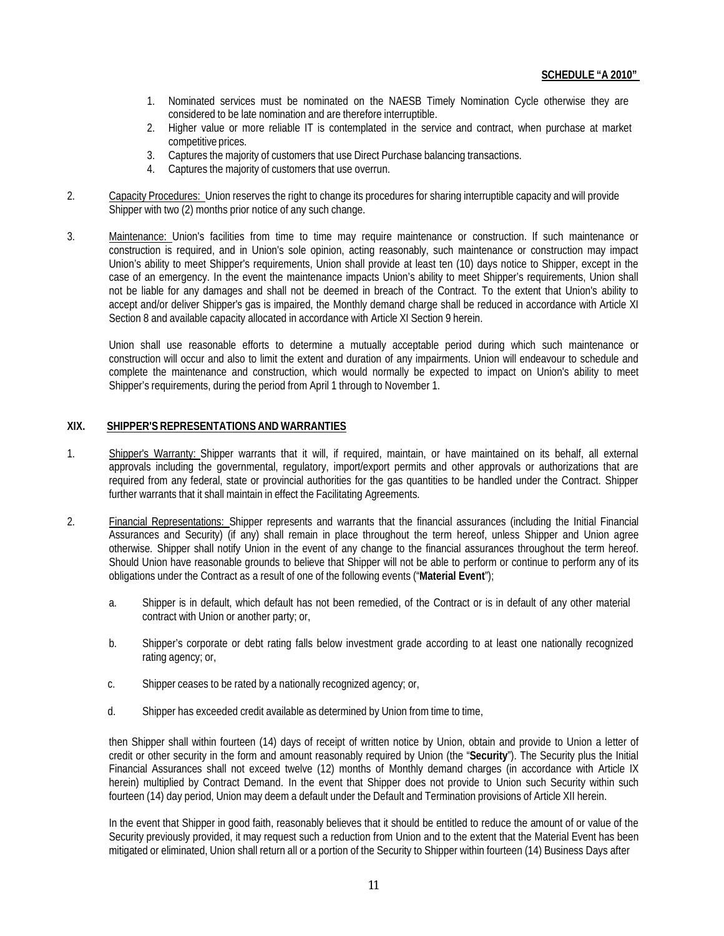- 1. Nominated services must be nominated on the NAESB Timely Nomination Cycle otherwise they are considered to be late nomination and are therefore interruptible.
- 2. Higher value or more reliable IT is contemplated in the service and contract, when purchase at market competitive prices.
- 3. Captures the majority of customers that use Direct Purchase balancing transactions.
- 4. Captures the majority of customers that use overrun.
- 2. Capacity Procedures: Union reserves the right to change its procedures for sharing interruptible capacity and will provide Shipper with two (2) months prior notice of any such change.
- 3. Maintenance: Union's facilities from time to time may require maintenance or construction. If such maintenance or construction is required, and in Union's sole opinion, acting reasonably, such maintenance or construction may impact Union's ability to meet Shipper's requirements, Union shall provide at least ten (10) days notice to Shipper, except in the case of an emergency. In the event the maintenance impacts Union's ability to meet Shipper's requirements, Union shall not be liable for any damages and shall not be deemed in breach of the Contract. To the extent that Union's ability to accept and/or deliver Shipper's gas is impaired, the Monthly demand charge shall be reduced in accordance with Article XI Section 8 and available capacity allocated in accordance with Article XI Section 9 herein.

Union shall use reasonable efforts to determine a mutually acceptable period during which such maintenance or construction will occur and also to limit the extent and duration of any impairments. Union will endeavour to schedule and complete the maintenance and construction, which would normally be expected to impact on Union's ability to meet Shipper's requirements, during the period from April 1 through to November 1.

#### **XIX. SHIPPER'S REPRESENTATIONS AND WARRANTIES**

- 1. Shipper's Warranty: Shipper warrants that it will, if required, maintain, or have maintained on its behalf, all external approvals including the governmental, regulatory, import/export permits and other approvals or authorizations that are required from any federal, state or provincial authorities for the gas quantities to be handled under the Contract. Shipper further warrants that it shall maintain in effect the Facilitating Agreements.
- 2. Financial Representations: Shipper represents and warrants that the financial assurances (including the Initial Financial Assurances and Security) (if any) shall remain in place throughout the term hereof, unless Shipper and Union agree otherwise. Shipper shall notify Union in the event of any change to the financial assurances throughout the term hereof. Should Union have reasonable grounds to believe that Shipper will not be able to perform or continue to perform any of its obligations under the Contract as a result of one of the following events ("**Material Event**");
	- a. Shipper is in default, which default has not been remedied, of the Contract or is in default of any other material contract with Union or another party; or,
	- b. Shipper's corporate or debt rating falls below investment grade according to at least one nationally recognized rating agency; or,
	- c. Shipper ceases to be rated by a nationally recognized agency; or,
	- d. Shipper has exceeded credit available as determined by Union from time to time,

then Shipper shall within fourteen (14) days of receipt of written notice by Union, obtain and provide to Union a letter of credit or other security in the form and amount reasonably required by Union (the "**Security**"). The Security plus the Initial Financial Assurances shall not exceed twelve (12) months of Monthly demand charges (in accordance with Article IX herein) multiplied by Contract Demand. In the event that Shipper does not provide to Union such Security within such fourteen (14) day period, Union may deem a default under the Default and Termination provisions of Article XII herein.

In the event that Shipper in good faith, reasonably believes that it should be entitled to reduce the amount of or value of the Security previously provided, it may request such a reduction from Union and to the extent that the Material Event has been mitigated or eliminated, Union shall return all or a portion of the Security to Shipper within fourteen (14) Business Days after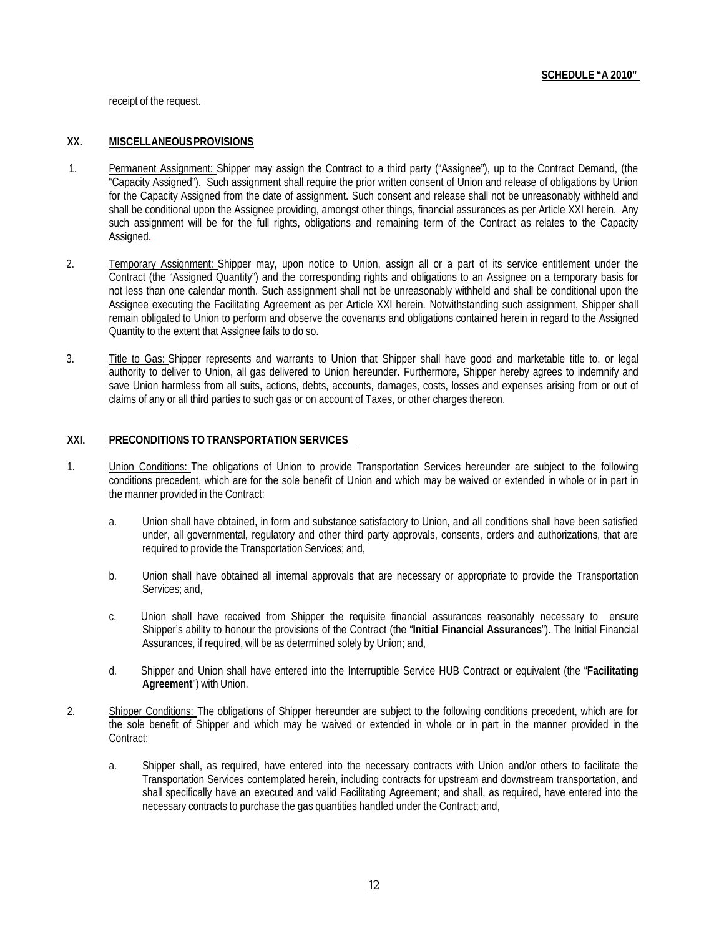receipt of the request.

#### **XX. MISCELLANEOUSPROVISIONS**

- 1. Permanent Assignment: Shipper may assign the Contract to a third party ("Assignee"), up to the Contract Demand, (the "Capacity Assigned"). Such assignment shall require the prior written consent of Union and release of obligations by Union for the Capacity Assigned from the date of assignment. Such consent and release shall not be unreasonably withheld and shall be conditional upon the Assignee providing, amongst other things, financial assurances as per Article XXI herein. Any such assignment will be for the full rights, obligations and remaining term of the Contract as relates to the Capacity Assigned.
- 2. Temporary Assignment: Shipper may, upon notice to Union, assign all or a part of its service entitlement under the Contract (the "Assigned Quantity") and the corresponding rights and obligations to an Assignee on a temporary basis for not less than one calendar month. Such assignment shall not be unreasonably withheld and shall be conditional upon the Assignee executing the Facilitating Agreement as per Article XXI herein. Notwithstanding such assignment, Shipper shall remain obligated to Union to perform and observe the covenants and obligations contained herein in regard to the Assigned Quantity to the extent that Assignee fails to do so.
- 3. Title to Gas: Shipper represents and warrants to Union that Shipper shall have good and marketable title to, or legal authority to deliver to Union, all gas delivered to Union hereunder. Furthermore, Shipper hereby agrees to indemnify and save Union harmless from all suits, actions, debts, accounts, damages, costs, losses and expenses arising from or out of claims of any or all third parties to such gas or on account of Taxes, or other charges thereon.

### **XXI. PRECONDITIONS TOTRANSPORTATION SERVICES**

- 1. Union Conditions: The obligations of Union to provide Transportation Services hereunder are subject to the following conditions precedent, which are for the sole benefit of Union and which may be waived or extended in whole or in part in the manner provided in the Contract:
	- a. Union shall have obtained, in form and substance satisfactory to Union, and all conditions shall have been satisfied under, all governmental, regulatory and other third party approvals, consents, orders and authorizations, that are required to provide the Transportation Services; and,
	- b. Union shall have obtained all internal approvals that are necessary or appropriate to provide the Transportation Services; and,
	- c. Union shall have received from Shipper the requisite financial assurances reasonably necessary to ensure Shipper's ability to honour the provisions of the Contract (the "**Initial Financial Assurances**"). The Initial Financial Assurances, if required, will be as determined solely by Union; and,
	- d. Shipper and Union shall have entered into the Interruptible Service HUB Contract or equivalent (the "**Facilitating Agreement**") with Union.
- 2. Shipper Conditions: The obligations of Shipper hereunder are subject to the following conditions precedent, which are for the sole benefit of Shipper and which may be waived or extended in whole or in part in the manner provided in the Contract:
	- a. Shipper shall, as required, have entered into the necessary contracts with Union and/or others to facilitate the Transportation Services contemplated herein, including contracts for upstream and downstream transportation, and shall specifically have an executed and valid Facilitating Agreement; and shall, as required, have entered into the necessary contracts to purchase the gas quantities handled under the Contract; and,